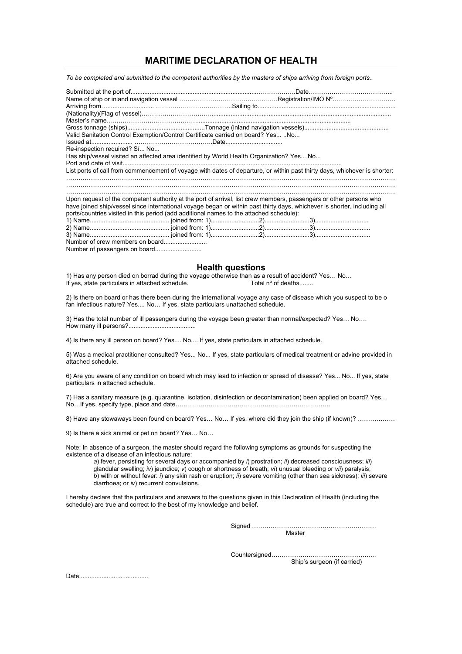## **MARITIME DECLARATION OF HEALTH**

*To be completed and submitted to the competent authorities by the masters of ships arriving from foreign ports..* 

| Valid Sanitation Control Exemption/Control Certificate carried on board? Yes  No                                                                                                                                                               |  |  |  |  |  |  |
|------------------------------------------------------------------------------------------------------------------------------------------------------------------------------------------------------------------------------------------------|--|--|--|--|--|--|
|                                                                                                                                                                                                                                                |  |  |  |  |  |  |
| Re-inspection required? Sí No                                                                                                                                                                                                                  |  |  |  |  |  |  |
| Has ship/vessel visited an affected area identified by World Health Organization? Yes No                                                                                                                                                       |  |  |  |  |  |  |
|                                                                                                                                                                                                                                                |  |  |  |  |  |  |
| List ports of call from commencement of voyage with dates of departure, or within past thirty days, whichever is shorter:                                                                                                                      |  |  |  |  |  |  |
|                                                                                                                                                                                                                                                |  |  |  |  |  |  |
|                                                                                                                                                                                                                                                |  |  |  |  |  |  |
|                                                                                                                                                                                                                                                |  |  |  |  |  |  |
| Upon request of the competent authority at the port of arrival, list crew members, passengers or other persons who<br>have joined ship/vessel since international voyage began or within past thirty days, whichever is shorter, including all |  |  |  |  |  |  |
| ports/countries visited in this period (add additional names to the attached schedule):                                                                                                                                                        |  |  |  |  |  |  |
|                                                                                                                                                                                                                                                |  |  |  |  |  |  |
|                                                                                                                                                                                                                                                |  |  |  |  |  |  |
|                                                                                                                                                                                                                                                |  |  |  |  |  |  |
|                                                                                                                                                                                                                                                |  |  |  |  |  |  |
|                                                                                                                                                                                                                                                |  |  |  |  |  |  |

Number of passengers on board...........................

## **Health questions**

1) Has any person died on borrad during the voyage otherwise than as a result of accident? Yes… No… If yes, state particulars in attached schedule. Total nº of deaths........

2) Is there on board or has there been during the international voyage any case of disease which you suspect to be o fan infectious nature? Yes.... No… If yes, state particulars unattached schedule.

3) Has the total number of ill passengers during the voyage been greater than normal/expected? Yes… No…. How many ill persons?.......................................

4) Is there any ill person on board? Yes.... No.... If yes, state particulars in attached schedule.

5) Was a medical practitioner consulted? Yes... No... If yes, state particulars of medical treatment or advine provided in attached schedule.

6) Are you aware of any condition on board which may lead to infection or spread of disease? Yes... No... If yes, state particulars in attached schedule.

7) Has a sanitary measure (e.g. quarantine, isolation, disinfection or decontamination) been applied on board? Yes… No…If yes, specify type, place and date…………………………………………………………………

8) Have any stowaways been found on board? Yes… No… If yes, where did they join the ship (if known)? ………………

9) Is there a sick animal or pet on board? Yes… No…

Note: In absence of a surgeon, the master should regard the following symptoms as grounds for suspecting the existence of a disease of an infectious nature:

*a*) fever, persisting for several days or accompanied by *i*) prostration; *ii*) decreased consciousness; *iii*) glandular swelling; *iv*) jaundice; *v*) cough or shortness of breath; *vi*) unusual bleeding or *vii*) paralysis; *b*) with or without fever: *i*) any skin rash or eruption; *ii*) severe vomiting (other than sea sickness); *iii*) severe diarrhoea; or *iv*) recurrent convulsions.

I hereby declare that the particulars and answers to the questions given in this Declaration of Health (including the schedule) are true and correct to the best of my knowledge and belief.

> Signed …………………………………………………… Master

Countersigned…………………………………………… Ship's surgeon (if carried)

Date........................................